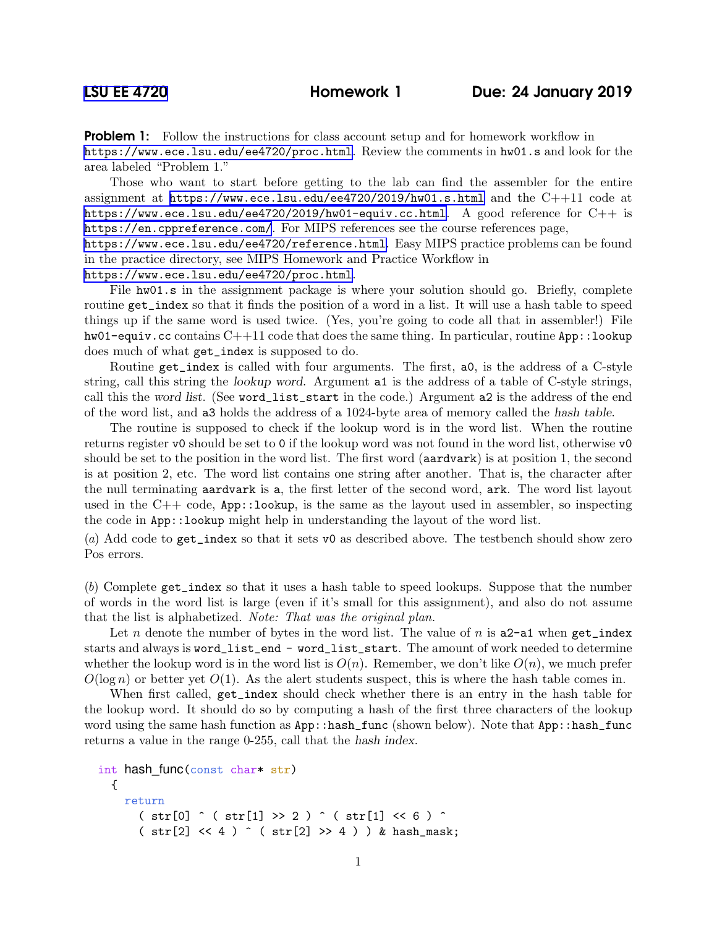**Problem 1:** Follow the instructions for class account setup and for homework workflow in <https://www.ece.lsu.edu/ee4720/proc.html>. Review the comments in hw01.s and look for the area labeled "Problem 1."

Those who want to start before getting to the lab can find the assembler for the entire assignment at <https://www.ece.lsu.edu/ee4720/2019/hw01.s.html> and the C++11 code at <https://www.ece.lsu.edu/ee4720/2019/hw01-equiv.cc.html>. A good reference for C++ is <https://en.cppreference.com/>. For MIPS references see the course references page, <https://www.ece.lsu.edu/ee4720/reference.html>. Easy MIPS practice problems can be found

in the practice directory, see MIPS Homework and Practice Workflow in

<https://www.ece.lsu.edu/ee4720/proc.html>.

File hw01.s in the assignment package is where your solution should go. Briefly, complete routine get\_index so that it finds the position of a word in a list. It will use a hash table to speed things up if the same word is used twice. (Yes, you're going to code all that in assembler!) File hw01-equiv.cc contains  $C+11$  code that does the same thing. In particular, routine App::100kup does much of what get\_index is supposed to do.

Routine get\_index is called with four arguments. The first, a0, is the address of a C-style string, call this string the lookup word. Argument a1 is the address of a table of C-style strings, call this the word list. (See word\_list\_start in the code.) Argument a2 is the address of the end of the word list, and a3 holds the address of a 1024-byte area of memory called the hash table.

The routine is supposed to check if the lookup word is in the word list. When the routine returns register v0 should be set to 0 if the lookup word was not found in the word list, otherwise v0 should be set to the position in the word list. The first word (aardvark) is at position 1, the second is at position 2, etc. The word list contains one string after another. That is, the character after the null terminating aardvark is a, the first letter of the second word, ark. The word list layout used in the  $C++$  code,  $App::lookup$ , is the same as the layout used in assembler, so inspecting the code in App::lookup might help in understanding the layout of the word list.

(*a*) Add code to get\_index so that it sets v0 as described above. The testbench should show zero Pos errors.

(*b*) Complete get\_index so that it uses a hash table to speed lookups. Suppose that the number of words in the word list is large (even if it's small for this assignment), and also do not assume that the list is alphabetized. *Note: That was the original plan.*

Let n denote the number of bytes in the word list. The value of n is  $a2-a1$  when get\_index starts and always is word\_list\_end - word\_list\_start. The amount of work needed to determine whether the lookup word is in the word list is  $O(n)$ . Remember, we don't like  $O(n)$ , we much prefer  $O(\log n)$  or better yet  $O(1)$ . As the alert students suspect, this is where the hash table comes in.

When first called, get\_index should check whether there is an entry in the hash table for the lookup word. It should do so by computing a hash of the first three characters of the lookup word using the same hash function as  $App::hash\_func$  (shown below). Note that  $App::hash\_func$ returns a value in the range 0-255, call that the hash index.

```
int hash_func(const char* str)
  {
    return
       (\text{str}[0] ^ (str[1] > 2) ^ (str[1] < 6 ) ^ )(\text{str}[2] << 4) ^ ( \text{str}[2] >> 4 ) ) & hash_mask;
```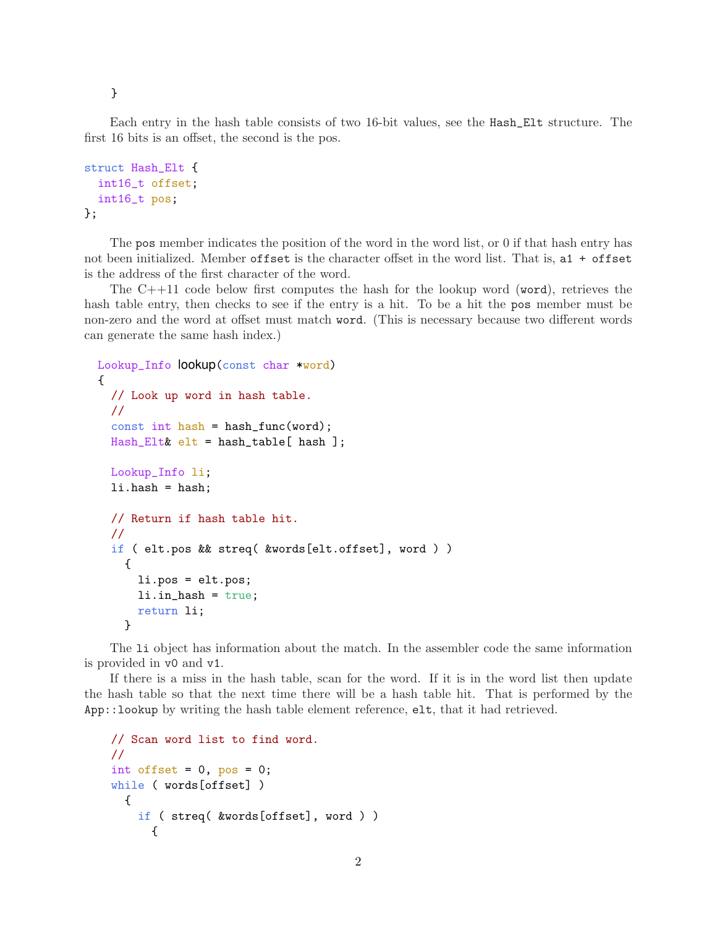}

Each entry in the hash table consists of two 16-bit values, see the Hash\_Elt structure. The first 16 bits is an offset, the second is the pos.

```
struct Hash_Elt {
  int16_t offset;
  int16_t pos;
};
```
The pos member indicates the position of the word in the word list, or 0 if that hash entry has not been initialized. Member offset is the character offset in the word list. That is, a1 + offset is the address of the first character of the word.

The  $C++11$  code below first computes the hash for the lookup word (word), retrieves the hash table entry, then checks to see if the entry is a hit. To be a hit the pos member must be non-zero and the word at offset must match word. (This is necessary because two different words can generate the same hash index.)

```
Lookup_Info lookup(const char *word)
{
  // Look up word in hash table.
  //
  const int hash = hash_func(word);
  Hash_Elt& elt = hash_table[ hash ];
  Lookup_Info li;
  li.hash = hash;
  // Return if hash table hit.
  //
  if ( elt.pos && streq( &words[elt.offset], word ) )
    {
      li.pos = elt.pos;
      li.in_hash = true;
      return li;
    }
```
The li object has information about the match. In the assembler code the same information is provided in v0 and v1.

If there is a miss in the hash table, scan for the word. If it is in the word list then update the hash table so that the next time there will be a hash table hit. That is performed by the App::lookup by writing the hash table element reference, elt, that it had retrieved.

```
// Scan word list to find word.
//
int offset = 0, pos = 0;
while ( words[offset] )
  {
    if ( streq( &words[offset], word ) )
      {
```